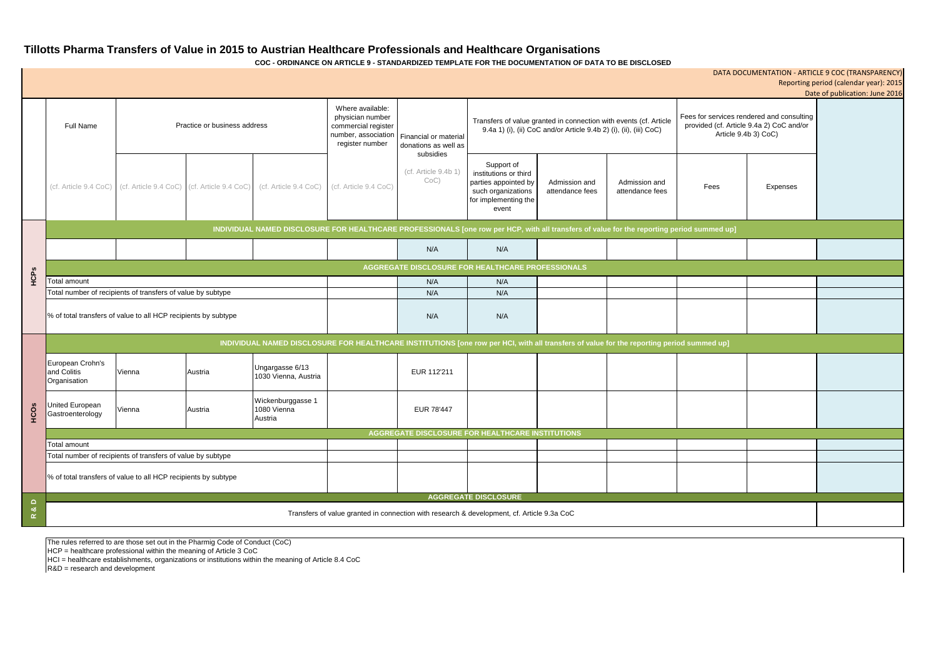# **Tillotts Pharma Transfers of Value in 2015 to Austrian Healthcare Professionals and Healthcare Organisations**

**COC - ORDINANCE ON ARTICLE 9 - STANDARDIZED TEMPLATE FOR THE DOCUMENTATION OF DATA TO BE DISCLOSED**

The rules referred to are those set out in the Pharmig Code of Conduct (CoC)

HCP = healthcare professional within the meaning of Article 3 CoC

HCI = healthcare establishments, organizations or institutions within the meaning of Article 8.4 CoC

R&D = research and development

|                                            |                                                                                                                                            |                                                                   |         |                                             |                                                                                                       |                                                            |                                                                                                                                         |                                  |                                  |                                                                                                               |          | DATA DOCUMENTATION - ARTICLE 9 COC (TRANSPARENCY)<br>Reporting period (calendar year): 2015 |
|--------------------------------------------|--------------------------------------------------------------------------------------------------------------------------------------------|-------------------------------------------------------------------|---------|---------------------------------------------|-------------------------------------------------------------------------------------------------------|------------------------------------------------------------|-----------------------------------------------------------------------------------------------------------------------------------------|----------------------------------|----------------------------------|---------------------------------------------------------------------------------------------------------------|----------|---------------------------------------------------------------------------------------------|
|                                            |                                                                                                                                            |                                                                   |         |                                             |                                                                                                       |                                                            |                                                                                                                                         |                                  |                                  |                                                                                                               |          | Date of publication: June 2016                                                              |
|                                            | Practice or business address<br><b>Full Name</b>                                                                                           |                                                                   |         |                                             | Where available:<br>physician number<br>commercial register<br>number, association<br>register number | Financial or material<br>donations as well as<br>subsidies | Transfers of value granted in connection with events (cf. Article<br>9.4a 1) (i), (ii) CoC and/or Article 9.4b 2) (i), (ii), (iii) CoC) |                                  |                                  | Fees for services rendered and consulting<br>provided (cf. Article 9.4a 2) CoC and/or<br>Article 9.4b 3) CoC) |          |                                                                                             |
|                                            |                                                                                                                                            | (cf. Article 9.4 CoC) (cf. Article 9.4 CoC) (cf. Article 9.4 CoC) |         | (cf. Article 9.4 CoC)                       | (cf. Article 9.4 CoC)                                                                                 | (cf. Article 9.4b 1)<br>$CoC$ )                            | Support of<br>institutions or third<br>parties appointed by<br>such organizations<br>for implementing the<br>event                      | Admission and<br>attendance fees | Admission and<br>attendance fees | Fees                                                                                                          | Expenses |                                                                                             |
|                                            | INDIVIDUAL NAMED DISCLOSURE FOR HEALTHCARE PROFESSIONALS [one row per HCP, with all transfers of value for the reporting period summed up] |                                                                   |         |                                             |                                                                                                       |                                                            |                                                                                                                                         |                                  |                                  |                                                                                                               |          |                                                                                             |
|                                            |                                                                                                                                            |                                                                   |         |                                             |                                                                                                       | N/A                                                        | N/A                                                                                                                                     |                                  |                                  |                                                                                                               |          |                                                                                             |
|                                            | AGGREGATE DISCLOSURE FOR HEALTHCARE PROFESSIONALS                                                                                          |                                                                   |         |                                             |                                                                                                       |                                                            |                                                                                                                                         |                                  |                                  |                                                                                                               |          |                                                                                             |
| HCPS                                       | <b>Total amount</b>                                                                                                                        |                                                                   |         |                                             |                                                                                                       | N/A                                                        | N/A                                                                                                                                     |                                  |                                  |                                                                                                               |          |                                                                                             |
|                                            | Total number of recipients of transfers of value by subtype                                                                                |                                                                   |         |                                             |                                                                                                       | N/A                                                        | N/A                                                                                                                                     |                                  |                                  |                                                                                                               |          |                                                                                             |
|                                            | % of total transfers of value to all HCP recipients by subtype                                                                             |                                                                   |         |                                             |                                                                                                       | N/A                                                        | N/A                                                                                                                                     |                                  |                                  |                                                                                                               |          |                                                                                             |
|                                            | INDIVIDUAL NAMED DISCLOSURE FOR HEALTHCARE INSTITUTIONS [one row per HCI, with all transfers of value for the reporting period summed up]  |                                                                   |         |                                             |                                                                                                       |                                                            |                                                                                                                                         |                                  |                                  |                                                                                                               |          |                                                                                             |
| <b>HCOS</b>                                | European Crohn's<br>and Colitis<br>Organisation                                                                                            | Vienna                                                            | Austria | Ungargasse 6/13<br>1030 Vienna, Austria     |                                                                                                       | EUR 112'211                                                |                                                                                                                                         |                                  |                                  |                                                                                                               |          |                                                                                             |
|                                            | United European<br>Gastroenterology                                                                                                        | Vienna                                                            | Austria | Wickenburggasse 1<br>1080 Vienna<br>Austria |                                                                                                       | EUR 78'447                                                 |                                                                                                                                         |                                  |                                  |                                                                                                               |          |                                                                                             |
|                                            | <b>AGGREGATE DISCLOSURE FOR HEALTHCARE INSTITUTIONS</b>                                                                                    |                                                                   |         |                                             |                                                                                                       |                                                            |                                                                                                                                         |                                  |                                  |                                                                                                               |          |                                                                                             |
|                                            | Total amount                                                                                                                               |                                                                   |         |                                             |                                                                                                       |                                                            |                                                                                                                                         |                                  |                                  |                                                                                                               |          |                                                                                             |
|                                            | Total number of recipients of transfers of value by subtype                                                                                |                                                                   |         |                                             |                                                                                                       |                                                            |                                                                                                                                         |                                  |                                  |                                                                                                               |          |                                                                                             |
|                                            | % of total transfers of value to all HCP recipients by subtype                                                                             |                                                                   |         |                                             |                                                                                                       |                                                            |                                                                                                                                         |                                  |                                  |                                                                                                               |          |                                                                                             |
|                                            | <b>AGGREGATE DISCLOSURE</b>                                                                                                                |                                                                   |         |                                             |                                                                                                       |                                                            |                                                                                                                                         |                                  |                                  |                                                                                                               |          |                                                                                             |
| $\frac{D}{\alpha}$<br>$\underline{\alpha}$ | Transfers of value granted in connection with research & development, cf. Article 9.3a CoC                                                 |                                                                   |         |                                             |                                                                                                       |                                                            |                                                                                                                                         |                                  |                                  |                                                                                                               |          |                                                                                             |